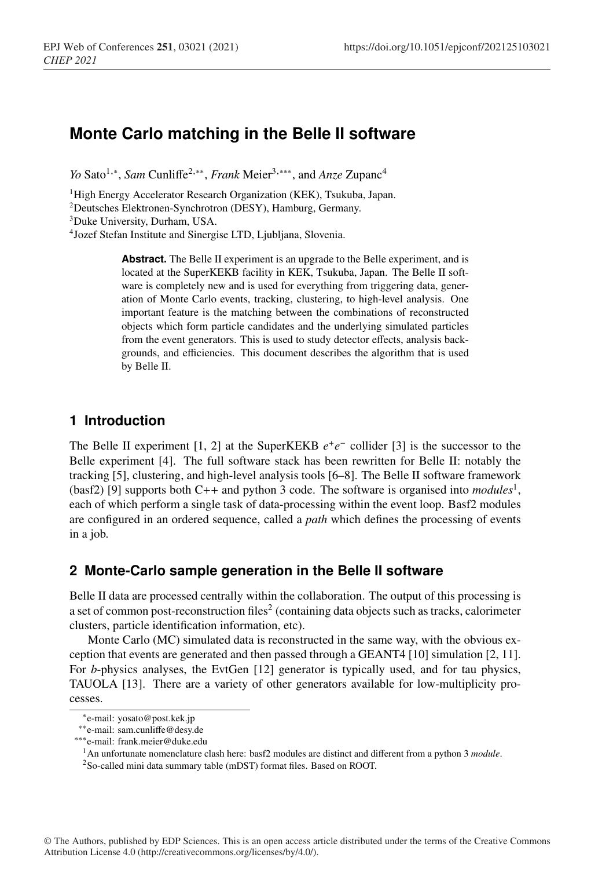# **Monte Carlo matching in the Belle II software**

*Yo* Sato<sup>1,∗</sup>, *Sam* Cunliffe<sup>2,∗∗</sup>, *Frank* Meier<sup>3,∗∗∗</sup>, and *Anze* Zupanc<sup>4</sup>

<sup>1</sup>High Energy Accelerator Research Organization (KEK), Tsukuba, Japan.

2Deutsches Elektronen-Synchrotron (DESY), Hamburg, Germany.

3Duke University, Durham, USA.

4Jozef Stefan Institute and Sinergise LTD, Ljubljana, Slovenia.

**Abstract.** The Belle II experiment is an upgrade to the Belle experiment, and is located at the SuperKEKB facility in KEK, Tsukuba, Japan. The Belle II software is completely new and is used for everything from triggering data, generation of Monte Carlo events, tracking, clustering, to high-level analysis. One important feature is the matching between the combinations of reconstructed objects which form particle candidates and the underlying simulated particles from the event generators. This is used to study detector effects, analysis backgrounds, and efficiencies. This document describes the algorithm that is used by Belle II.

### **1 Introduction**

The Belle II experiment [1, 2] at the SuperKEKB  $e^+e^-$  collider [3] is the successor to the Belle experiment [4]. The full software stack has been rewritten for Belle II: notably the tracking [5], clustering, and high-level analysis tools [6–8]. The Belle II software framework (basf2) [9] supports both C++ and python 3 code. The software is organised into *modules*1, each of which perform a single task of data-processing within the event loop. Basf2 modules are configured in an ordered sequence, called a *path* which defines the processing of events in a job.

### **2 Monte-Carlo sample generation in the Belle II software**

Belle II data are processed centrally within the collaboration. The output of this processing is a set of common post-reconstruction files<sup>2</sup> (containing data objects such as tracks, calorimeter clusters, particle identification information, etc).

Monte Carlo (MC) simulated data is reconstructed in the same way, with the obvious exception that events are generated and then passed through a GEANT4 [10] simulation [2, 11]. For *b*-physics analyses, the EvtGen [12] generator is typically used, and for tau physics, TAUOLA [13]. There are a variety of other generators available for low-multiplicity processes.

<sup>∗</sup>e-mail: yosato@post.kek.jp

<sup>∗∗</sup>e-mail: sam.cunliffe@desy.de

<sup>∗∗∗</sup>e-mail: frank.meier@duke.edu

<sup>1</sup>An unfortunate nomenclature clash here: basf2 modules are distinct and different from a python 3 *module*.

<sup>2</sup>So-called mini data summary table (mDST) format files. Based on ROOT.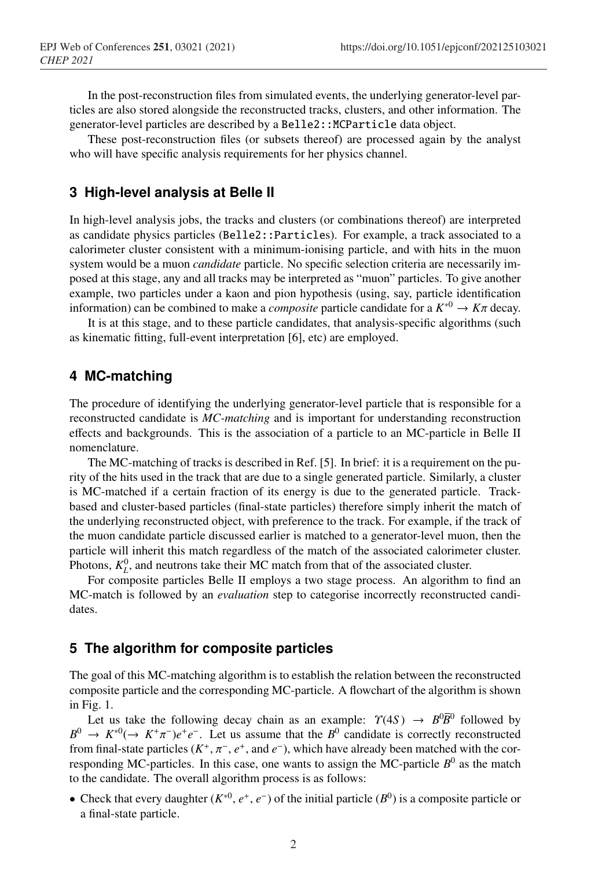In the post-reconstruction files from simulated events, the underlying generator-level particles are also stored alongside the reconstructed tracks, clusters, and other information. The generator-level particles are described by a Belle2:: MCParticle data object.

These post-reconstruction files (or subsets thereof) are processed again by the analyst who will have specific analysis requirements for her physics channel.

### **3 High-level analysis at Belle II**

In high-level analysis jobs, the tracks and clusters (or combinations thereof) are interpreted as candidate physics particles (Belle2::Particles). For example, a track associated to a calorimeter cluster consistent with a minimum-ionising particle, and with hits in the muon system would be a muon *candidate* particle. No specific selection criteria are necessarily imposed at this stage, any and all tracks may be interpreted as "muon" particles. To give another example, two particles under a kaon and pion hypothesis (using, say, particle identification information) can be combined to make a *composite* particle candidate for a  $K^{*0} \to K\pi$  decay.

It is at this stage, and to these particle candidates, that analysis-specific algorithms (such as kinematic fitting, full-event interpretation [6], etc) are employed.

#### **4 MC-matching**

The procedure of identifying the underlying generator-level particle that is responsible for a reconstructed candidate is *MC-matching* and is important for understanding reconstruction effects and backgrounds. This is the association of a particle to an MC-particle in Belle II nomenclature.

The MC-matching of tracks is described in Ref. [5]. In brief: it is a requirement on the purity of the hits used in the track that are due to a single generated particle. Similarly, a cluster is MC-matched if a certain fraction of its energy is due to the generated particle. Trackbased and cluster-based particles (final-state particles) therefore simply inherit the match of the underlying reconstructed object, with preference to the track. For example, if the track of the muon candidate particle discussed earlier is matched to a generator-level muon, then the particle will inherit this match regardless of the match of the associated calorimeter cluster. Photons,  $K_L^0$ , and neutrons take their MC match from that of the associated cluster.

For composite particles Belle II employs a two stage process. An algorithm to find an MC-match is followed by an *evaluation* step to categorise incorrectly reconstructed candidates.

#### **5 The algorithm for composite particles**

The goal of this MC-matching algorithm is to establish the relation between the reconstructed composite particle and the corresponding MC-particle. A flowchart of the algorithm is shown in Fig. 1.

Let us take the following decay chain as an example:  $\gamma(4S) \rightarrow B^0 \overline{B}{}^0$  followed by  $B^0 \to K^{*0}(\to K^+\pi^-)e^+e^-$ . Let us assume that the  $B^0$  candidate is correctly reconstructed from final-state particles (*K*<sup>+</sup>, π−, *e*<sup>+</sup>, and *e*−), which have already been matched with the corresponding MC-particles. In this case, one wants to assign the MC-particle  $B^0$  as the match to the candidate. The overall algorithm process is as follows:

• Check that every daughter  $(K^{*0}, e^+, e^-)$  of the initial particle  $(B^0)$  is a composite particle or a final-state particle.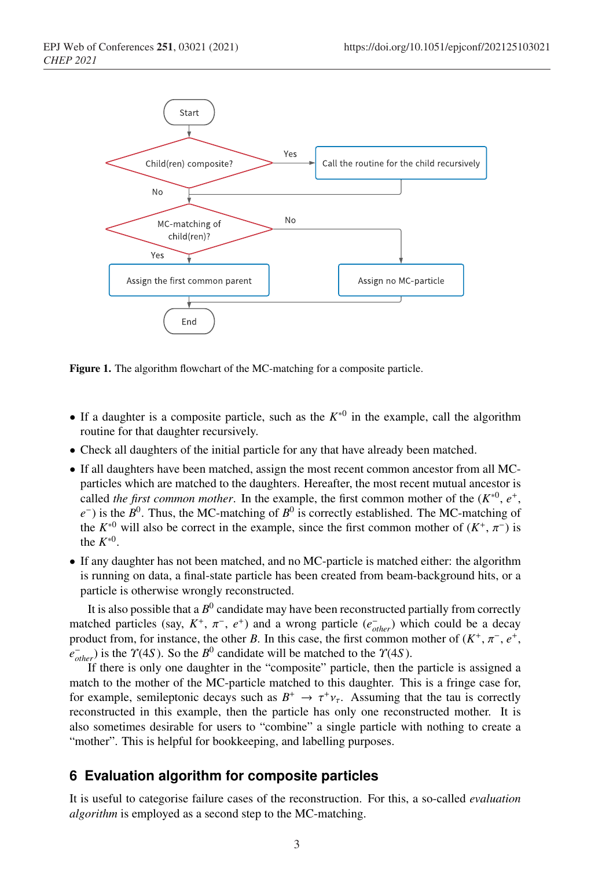

Figure 1. The algorithm flowchart of the MC-matching for a composite particle.

- If a daughter is a composite particle, such as the *K*∗<sup>0</sup> in the example, call the algorithm routine for that daughter recursively.
- Check all daughters of the initial particle for any that have already been matched.
- If all daughters have been matched, assign the most recent common ancestor from all MCparticles which are matched to the daughters. Hereafter, the most recent mutual ancestor is called *the first common mother*. In the example, the first common mother of the  $(K^{*0}, e^+, e^-)$ *e*<sup>−</sup>) is the *B*<sup>0</sup>. Thus, the MC-matching of *B*<sup>0</sup> is correctly established. The MC-matching of the  $K^{*0}$  will also be correct in the example, since the first common mother of  $(K^+, \pi^-)$  is the  $K^{*0}$ .
- If any daughter has not been matched, and no MC-particle is matched either: the algorithm is running on data, a final-state particle has been created from beam-background hits, or a particle is otherwise wrongly reconstructed.

It is also possible that a  $B^0$  candidate may have been reconstructed partially from correctly matched particles (say,  $K^+$ ,  $\pi^-$ ,  $e^+$ ) and a wrong particle ( $e^-_{other}$ ) which could be a decay product from, for instance, the other *B*. In this case, the first common mother of  $(K^+, \pi^-, e^+, \pi^-, e^+, \pi^-, \pi^-, \pi^+, \pi^-, \pi^+, \pi^-, \pi^+, \pi^-, \pi^+, \pi^-, \pi^+, \pi^-, \pi^+, \pi^-, \pi^+, \pi^-, \pi^+, \pi^-, \pi^+, \pi^-, \pi^+, \pi^-, \pi^+, \pi^-, \pi^+, \pi^-, \pi^+, \pi^-, \pi^+, \pi^$  $e_{other}^-$ ) is the  $\gamma$ (4*S*). So the *B*<sup>0</sup> candidate will be matched to the  $\gamma$ (4*S*).

If there is only one daughter in the "composite" particle, then the particle is assigned a match to the mother of the MC-particle matched to this daughter. This is a fringe case for, for example, semileptonic decays such as  $B^+ \to \tau^+ \nu_{\tau}$ . Assuming that the tau is correctly reconstructed in this example, then the particle has only one reconstructed mother. It is also sometimes desirable for users to "combine" a single particle with nothing to create a "mother". This is helpful for bookkeeping, and labelling purposes.

### **6 Evaluation algorithm for composite particles**

It is useful to categorise failure cases of the reconstruction. For this, a so-called *evaluation algorithm* is employed as a second step to the MC-matching.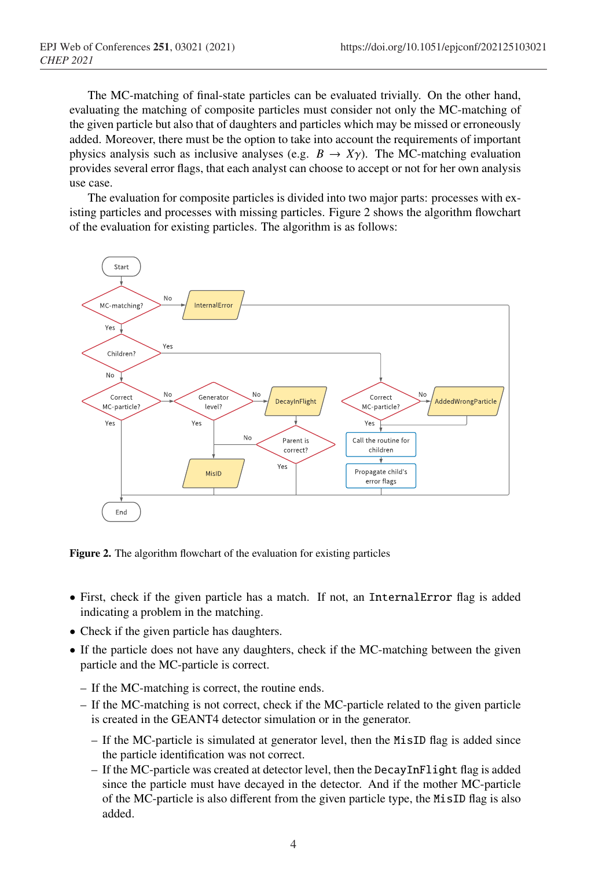The MC-matching of final-state particles can be evaluated trivially. On the other hand, evaluating the matching of composite particles must consider not only the MC-matching of the given particle but also that of daughters and particles which may be missed or erroneously added. Moreover, there must be the option to take into account the requirements of important physics analysis such as inclusive analyses (e.g.  $B \to X\gamma$ ). The MC-matching evaluation provides several error flags, that each analyst can choose to accept or not for her own analysis use case.

The evaluation for composite particles is divided into two major parts: processes with existing particles and processes with missing particles. Figure 2 shows the algorithm flowchart of the evaluation for existing particles. The algorithm is as follows:



Figure 2. The algorithm flowchart of the evaluation for existing particles

- First, check if the given particle has a match. If not, an InternalError flag is added indicating a problem in the matching.
- Check if the given particle has daughters.
- If the particle does not have any daughters, check if the MC-matching between the given particle and the MC-particle is correct.
	- If the MC-matching is correct, the routine ends.
	- If the MC-matching is not correct, check if the MC-particle related to the given particle is created in the GEANT4 detector simulation or in the generator.
		- If the MC-particle is simulated at generator level, then the MisID flag is added since the particle identification was not correct.
		- If the MC-particle was created at detector level, then the DecayInFlight flag is added since the particle must have decayed in the detector. And if the mother MC-particle of the MC-particle is also different from the given particle type, the MisID flag is also added.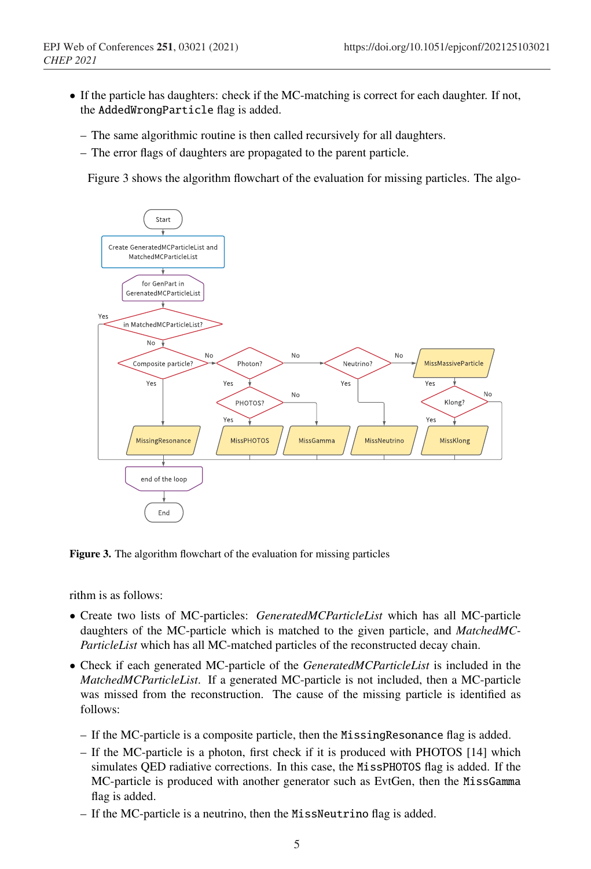- If the particle has daughters: check if the MC-matching is correct for each daughter. If not, the AddedWrongParticle flag is added.
	- The same algorithmic routine is then called recursively for all daughters.
	- The error flags of daughters are propagated to the parent particle.

Figure 3 shows the algorithm flowchart of the evaluation for missing particles. The algo-



Figure 3. The algorithm flowchart of the evaluation for missing particles

rithm is as follows:

- Create two lists of MC-particles: *GeneratedMCParticleList* which has all MC-particle daughters of the MC-particle which is matched to the given particle, and *MatchedMC-ParticleList* which has all MC-matched particles of the reconstructed decay chain.
- Check if each generated MC-particle of the *GeneratedMCParticleList* is included in the *MatchedMCParticleList*. If a generated MC-particle is not included, then a MC-particle was missed from the reconstruction. The cause of the missing particle is identified as follows:
	- If the MC-particle is a composite particle, then the MissingResonance flag is added.
	- If the MC-particle is a photon, first check if it is produced with PHOTOS [14] which simulates QED radiative corrections. In this case, the MissPHOTOS flag is added. If the MC-particle is produced with another generator such as EvtGen, then the MissGamma flag is added.
	- If the MC-particle is a neutrino, then the MissNeutrino flag is added.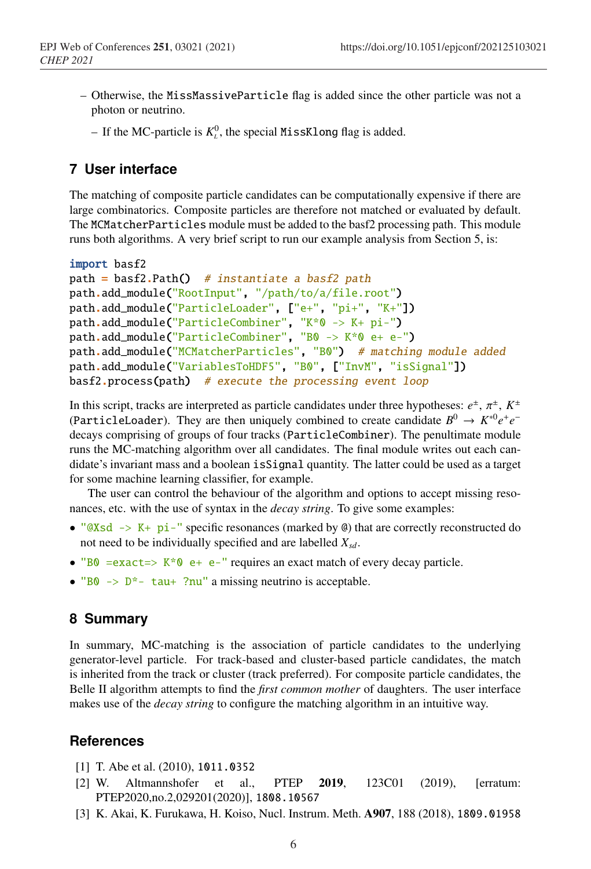- Otherwise, the MissMassiveParticle flag is added since the other particle was not a photon or neutrino.
	- $-$  If the MC-particle is  $K<sub>L</sub><sup>0</sup>$ , the special MissKlong flag is added.

# **7 User interface**

The matching of composite particle candidates can be computationally expensive if there are large combinatorics. Composite particles are therefore not matched or evaluated by default. The MCMatcherParticles module must be added to the basf2 processing path. This module runs both algorithms. A very brief script to run our example analysis from Section 5, is:

```
import basf2
path = basf2.Path() # instantiate a basf2 path
path.add_module("RootInput", "/path/to/a/file.root")
path.add_module("ParticleLoader", ["e+", "pi+", "K+"])
path.add_module("ParticleCombiner", "K*0 -> K+ pi-")
path.add_module("ParticleCombiner", "B0 -> K*0 e+ e-")
path.add_module("MCMatcherParticles", "B0") # matching module added
path.add_module("VariablesToHDF5", "B0", ["InvM", "isSignal"])
basf2.process(path) # execute the processing event loop
```
In this script, tracks are interpreted as particle candidates under three hypotheses:  $e^{\pm}$ ,  $\pi^{\pm}$ ,  $K^{\pm}$ (ParticleLoader). They are then uniquely combined to create candidate  $B^0 \to K^{*0}e^+e^$ decays comprising of groups of four tracks (ParticleCombiner). The penultimate module runs the MC-matching algorithm over all candidates. The final module writes out each candidate's invariant mass and a boolean isSignal quantity. The latter could be used as a target for some machine learning classifier, for example.

The user can control the behaviour of the algorithm and options to accept missing resonances, etc. with the use of syntax in the *decay string*. To give some examples:

- " $@Xsd \rightarrow K+ pi$ -" specific resonances (marked by  $@)$ ) that are correctly reconstructed do not need to be individually specified and are labelled  $X_{sd}$ .
- "B0 =  $exact \Rightarrow K*0$  e +  $e$ -" requires an exact match of every decay particle.
- "B0  $\rightarrow$  D<sup>\*</sup>- tau+ ?nu" a missing neutrino is acceptable.

## **8 Summary**

In summary, MC-matching is the association of particle candidates to the underlying generator-level particle. For track-based and cluster-based particle candidates, the match is inherited from the track or cluster (track preferred). For composite particle candidates, the Belle II algorithm attempts to find the *first common mother* of daughters. The user interface makes use of the *decay string* to configure the matching algorithm in an intuitive way.

### **References**

- [1] T. Abe et al. (2010), 1011.0352
- [2] W. Altmannshofer et al., PTEP 2019, 123C01 (2019), [erratum: PTEP2020,no.2,029201(2020)], 1808.10567
- [3] K. Akai, K. Furukawa, H. Koiso, Nucl. Instrum. Meth. A907, 188 (2018), 1809.01958